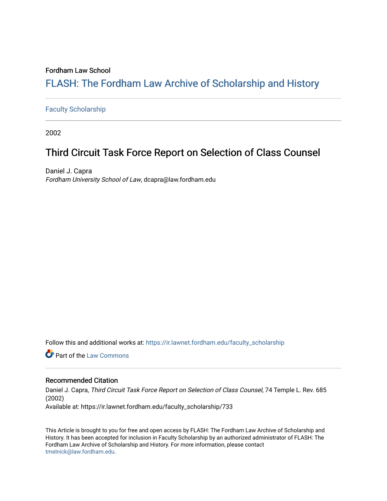#### Fordham Law School

## FLASH: The For[dham Law Archive of Scholarship and Hist](https://ir.lawnet.fordham.edu/)ory

#### [Faculty Scholarship](https://ir.lawnet.fordham.edu/faculty_scholarship)

2002

### Third Circuit Task Force Report on Selection of Class Counsel

Daniel J. Capra Fordham University School of Law, dcapra@law.fordham.edu

Follow this and additional works at: [https://ir.lawnet.fordham.edu/faculty\\_scholarship](https://ir.lawnet.fordham.edu/faculty_scholarship?utm_source=ir.lawnet.fordham.edu%2Ffaculty_scholarship%2F733&utm_medium=PDF&utm_campaign=PDFCoverPages)

**C** Part of the [Law Commons](http://network.bepress.com/hgg/discipline/578?utm_source=ir.lawnet.fordham.edu%2Ffaculty_scholarship%2F733&utm_medium=PDF&utm_campaign=PDFCoverPages)

#### Recommended Citation

Daniel J. Capra, Third Circuit Task Force Report on Selection of Class Counsel, 74 Temple L. Rev. 685 (2002) Available at: https://ir.lawnet.fordham.edu/faculty\_scholarship/733

This Article is brought to you for free and open access by FLASH: The Fordham Law Archive of Scholarship and History. It has been accepted for inclusion in Faculty Scholarship by an authorized administrator of FLASH: The Fordham Law Archive of Scholarship and History. For more information, please contact [tmelnick@law.fordham.edu](mailto:tmelnick@law.fordham.edu).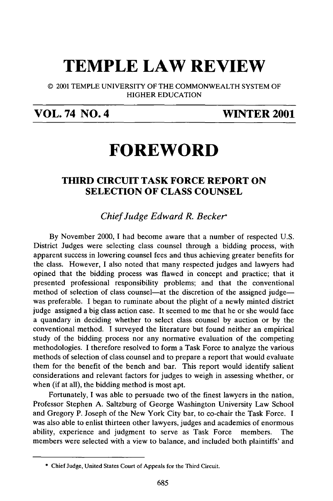# **TEMPLE LAW REVIEW**

© 2001 TEMPLE UNIVERSITY OF THE COMMONWEALTH SYSTEM OF HIGHER EDUCATION

**VOL. 74 NO. 4 WINTER 2001**

## **FOREWORD**

### **THIRD CIRCUIT TASK FORCE REPORT ON SELECTION OF CLASS COUNSEL**

*Chief Judge Edward R. Becker*

By November 2000, I had become aware that a number of respected U.S. District Judges were selecting class counsel through a bidding process, with apparent success in lowering counsel fees and thus achieving greater benefits for the class. However, I also noted that many respected judges and lawyers had opined that the bidding process was flawed in concept and practice; that it presented professional responsibility problems; and that the conventional method of selection of class counsel—at the discretion of the assigned judge was preferable. I began to ruminate about the plight of a newly minted district judge assigned a big class action case. It seemed to me that he or she would face a quandary in deciding whether to select class counsel by auction or by the conventional method. I surveyed the literature but found neither an empirical study of the bidding process nor any normative evaluation of the competing methodologies. I therefore resolved to form a Task Force to analyze the various methods of selection of class counsel and to prepare a report that would evaluate them for the benefit of the bench and bar. This report would identify salient considerations and relevant factors for judges to weigh in assessing whether, or when (if at all), the bidding method is most apt.

Fortunately, I was able to persuade two of the finest lawyers in the nation, Professor Stephen A. Saltzburg of George Washington University Law School and Gregory P. Joseph of the New York City bar, to co-chair the Task Force. I was also able to enlist thirteen other lawyers, judges and academics of enormous ability, experience and judgment to serve as Task Force members. The members were selected with a view to balance, and included both plaintiffs' and

**<sup>\*</sup>** Chief Judge, United States Court of Appeals for the Third Circuit.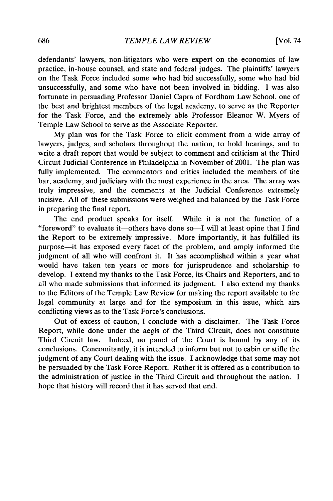defendants' lawyers, non-litigators who were expert on the economics of law practice, in-house counsel, and state and federal judges. The plaintiffs' lawyers on the Task Force included some who had bid successfully, some who had bid unsuccessfully, and some who have not been involved in bidding. I was also fortunate in persuading Professor Daniel Capra of Fordham Law School, one of the best and brightest members of the legal academy, to serve as the Reporter for the Task Force, and the extremely able Professor Eleanor W. Myers of Temple Law School to serve as the Associate Reporter.

My plan was for the Task Force to elicit comment from a wide array of lawyers, judges, and scholars throughout the nation, to hold hearings, and to write a draft report that would be subject to comment and criticism at the Third Circuit Judicial Conference in Philadelphia in November of 2001. The plan was fully implemented. The commentors and critics included the members of the bar, academy, and judiciary with the most experience in the area. The array was truly impressive, and the comments at the Judicial Conference extremely incisive. All of these submissions were weighed and balanced by the Task Force in preparing the final report.

The end product speaks for itself. While it is not the function of a "foreword" to evaluate it—others have done so—I will at least opine that I find the Report to be extremely impressive. More importantly, it has fulfilled its purpose-it has exposed every facet of the problem, and amply informed the judgment of all who will confront it. It has accomplished within a year what would have taken ten years or more for jurisprudence and scholarship to develop. I extend my thanks to the Task Force, its Chairs and Reporters, and to all who made submissions that informed its judgment. I also extend my thanks to the Editors of the Temple Law Review for making the report available to the legal community at large and for the symposium in this issue, which airs conflicting views as to the Task Force's conclusions.

Out of excess of caution, I conclude with a disclaimer. The Task Force Report, while done under the aegis of the Third Circuit, does not constitute Third Circuit law. Indeed, no panel of the Court is bound by any of its conclusions. Concomitantly, it is intended to inform but not to cabin or stifle the judgment of any Court dealing with the issue. I acknowledge that some may not be persuaded by the Task Force Report. Rather it is offered as a contribution to the administration of justice in the Third Circuit and throughout the nation. I hope that history will record that it has served that end.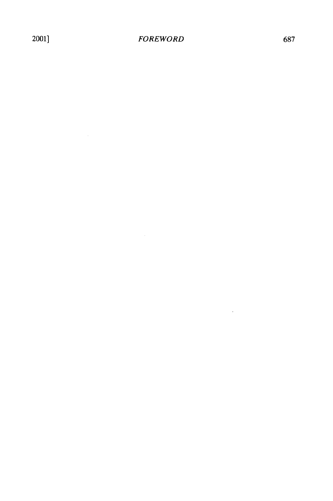$\sim 10^{-1}$